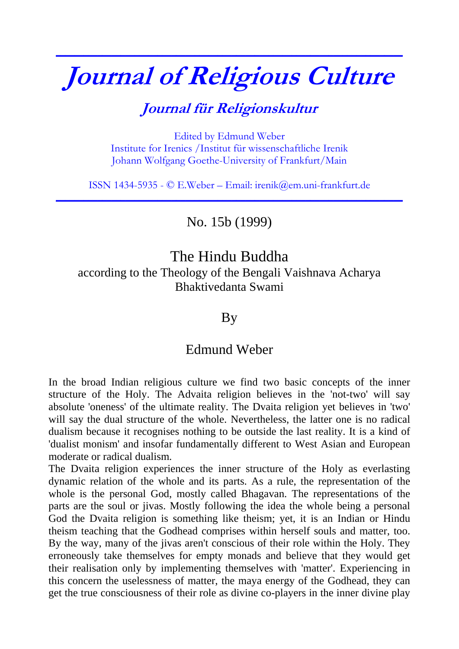# **Journal of Religious Culture**

**\_\_\_\_\_\_\_\_\_\_\_\_\_\_\_\_\_\_\_\_\_\_\_\_\_\_\_\_\_\_\_\_\_\_\_\_\_\_\_\_\_\_\_\_\_\_\_\_\_\_\_\_\_\_\_\_\_\_\_\_\_\_\_\_\_\_\_\_\_\_\_\_\_\_\_**

## **Journal für Religionskultur**

Edited by Edmund Weber Institute for Irenics /Institut für wissenschaftliche Irenik Johann Wolfgang Goethe-University of Frankfurt/Main

ISSN 1434-5935 - © E.Weber – Email: irenik@em.uni-frankfurt.de **\_\_\_\_\_\_\_\_\_\_\_\_\_\_\_\_\_\_\_\_\_\_\_\_\_\_\_\_\_\_\_\_\_\_\_\_\_\_\_\_\_\_\_\_\_\_\_\_\_\_\_\_\_\_\_\_\_\_\_\_\_\_\_\_\_\_\_\_\_\_\_\_\_\_\_**

No. 15b (1999)

## The Hindu Buddha according to the Theology of the Bengali Vaishnava Acharya Bhaktivedanta Swami

#### By

### Edmund Weber

In the broad Indian religious culture we find two basic concepts of the inner structure of the Holy. The Advaita religion believes in the 'not-two' will say absolute 'oneness' of the ultimate reality. The Dvaita religion yet believes in 'two' will say the dual structure of the whole. Nevertheless, the latter one is no radical dualism because it recognises nothing to be outside the last reality. It is a kind of 'dualist monism' and insofar fundamentally different to West Asian and European moderate or radical dualism.

The Dvaita religion experiences the inner structure of the Holy as everlasting dynamic relation of the whole and its parts. As a rule, the representation of the whole is the personal God, mostly called Bhagavan. The representations of the parts are the soul or jivas. Mostly following the idea the whole being a personal God the Dvaita religion is something like theism; yet, it is an Indian or Hindu theism teaching that the Godhead comprises within herself souls and matter, too. By the way, many of the jivas aren't conscious of their role within the Holy. They erroneously take themselves for empty monads and believe that they would get their realisation only by implementing themselves with 'matter'. Experiencing in this concern the uselessness of matter, the maya energy of the Godhead, they can get the true consciousness of their role as divine co-players in the inner divine play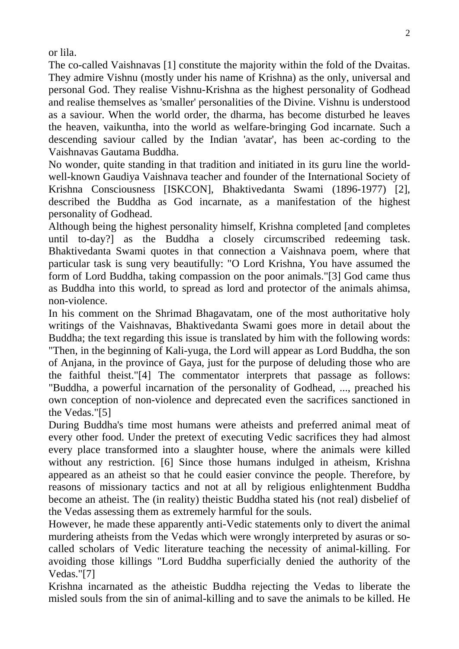or lila.

The co-called Vaishnavas [1] constitute the majority within the fold of the Dvaitas. They admire Vishnu (mostly under his name of Krishna) as the only, universal and personal God. They realise Vishnu-Krishna as the highest personality of Godhead and realise themselves as 'smaller' personalities of the Divine. Vishnu is understood as a saviour. When the world order, the dharma, has become disturbed he leaves the heaven, vaikuntha, into the world as welfare-bringing God incarnate. Such a descending saviour called by the Indian 'avatar', has been ac-cording to the Vaishnavas Gautama Buddha.

No wonder, quite standing in that tradition and initiated in its guru line the worldwell-known Gaudiya Vaishnava teacher and founder of the International Society of Krishna Consciousness [ISKCON], Bhaktivedanta Swami (1896-1977) [2], described the Buddha as God incarnate, as a manifestation of the highest personality of Godhead.

Although being the highest personality himself, Krishna completed [and completes until to-day?] as the Buddha a closely circumscribed redeeming task. Bhaktivedanta Swami quotes in that connection a Vaishnava poem, where that particular task is sung very beautifully: "O Lord Krishna, You have assumed the form of Lord Buddha, taking compassion on the poor animals."[3] God came thus as Buddha into this world, to spread as lord and protector of the animals ahimsa, non-violence.

In his comment on the Shrimad Bhagavatam, one of the most authoritative holy writings of the Vaishnavas, Bhaktivedanta Swami goes more in detail about the Buddha; the text regarding this issue is translated by him with the following words: "Then, in the beginning of Kali-yuga, the Lord will appear as Lord Buddha, the son of Anjana, in the province of Gaya, just for the purpose of deluding those who are the faithful theist."[4] The commentator interprets that passage as follows: "Buddha, a powerful incarnation of the personality of Godhead, ..., preached his own conception of non-violence and deprecated even the sacrifices sanctioned in the Vedas."[5]

During Buddha's time most humans were atheists and preferred animal meat of every other food. Under the pretext of executing Vedic sacrifices they had almost every place transformed into a slaughter house, where the animals were killed without any restriction. [6] Since those humans indulged in atheism, Krishna appeared as an atheist so that he could easier convince the people. Therefore, by reasons of missionary tactics and not at all by religious enlightenment Buddha become an atheist. The (in reality) theistic Buddha stated his (not real) disbelief of the Vedas assessing them as extremely harmful for the souls.

However, he made these apparently anti-Vedic statements only to divert the animal murdering atheists from the Vedas which were wrongly interpreted by asuras or socalled scholars of Vedic literature teaching the necessity of animal-killing. For avoiding those killings "Lord Buddha superficially denied the authority of the Vedas."[7]

Krishna incarnated as the atheistic Buddha rejecting the Vedas to liberate the misled souls from the sin of animal-killing and to save the animals to be killed. He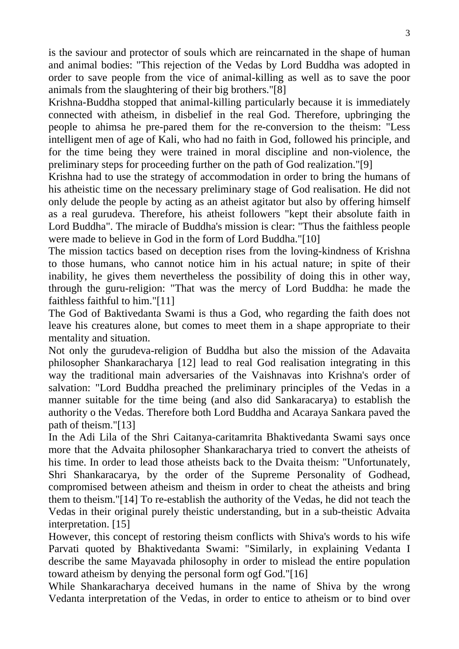is the saviour and protector of souls which are reincarnated in the shape of human and animal bodies: "This rejection of the Vedas by Lord Buddha was adopted in order to save people from the vice of animal-killing as well as to save the poor animals from the slaughtering of their big brothers."[8]

Krishna-Buddha stopped that animal-killing particularly because it is immediately connected with atheism, in disbelief in the real God. Therefore, upbringing the people to ahimsa he pre-pared them for the re-conversion to the theism: "Less intelligent men of age of Kali, who had no faith in God, followed his principle, and for the time being they were trained in moral discipline and non-violence, the preliminary steps for proceeding further on the path of God realization."[9]

Krishna had to use the strategy of accommodation in order to bring the humans of his atheistic time on the necessary preliminary stage of God realisation. He did not only delude the people by acting as an atheist agitator but also by offering himself as a real gurudeva. Therefore, his atheist followers "kept their absolute faith in Lord Buddha". The miracle of Buddha's mission is clear: "Thus the faithless people were made to believe in God in the form of Lord Buddha."[10]

The mission tactics based on deception rises from the loving-kindness of Krishna to those humans, who cannot notice him in his actual nature; in spite of their inability, he gives them nevertheless the possibility of doing this in other way, through the guru-religion: "That was the mercy of Lord Buddha: he made the faithless faithful to him."[11]

The God of Baktivedanta Swami is thus a God, who regarding the faith does not leave his creatures alone, but comes to meet them in a shape appropriate to their mentality and situation.

Not only the gurudeva-religion of Buddha but also the mission of the Adavaita philosopher Shankaracharya [12] lead to real God realisation integrating in this way the traditional main adversaries of the Vaishnavas into Krishna's order of salvation: "Lord Buddha preached the preliminary principles of the Vedas in a manner suitable for the time being (and also did Sankaracarya) to establish the authority o the Vedas. Therefore both Lord Buddha and Acaraya Sankara paved the path of theism."[13]

In the Adi Lila of the Shri Caitanya-caritamrita Bhaktivedanta Swami says once more that the Advaita philosopher Shankaracharya tried to convert the atheists of his time. In order to lead those atheists back to the Dvaita theism: "Unfortunately, Shri Shankaracarya, by the order of the Supreme Personality of Godhead, compromised between atheism and theism in order to cheat the atheists and bring them to theism."[14] To re-establish the authority of the Vedas, he did not teach the Vedas in their original purely theistic understanding, but in a sub-theistic Advaita interpretation. [15]

However, this concept of restoring theism conflicts with Shiva's words to his wife Parvati quoted by Bhaktivedanta Swami: "Similarly, in explaining Vedanta I describe the same Mayavada philosophy in order to mislead the entire population toward atheism by denying the personal form ogf God."[16]

While Shankaracharya deceived humans in the name of Shiva by the wrong Vedanta interpretation of the Vedas, in order to entice to atheism or to bind over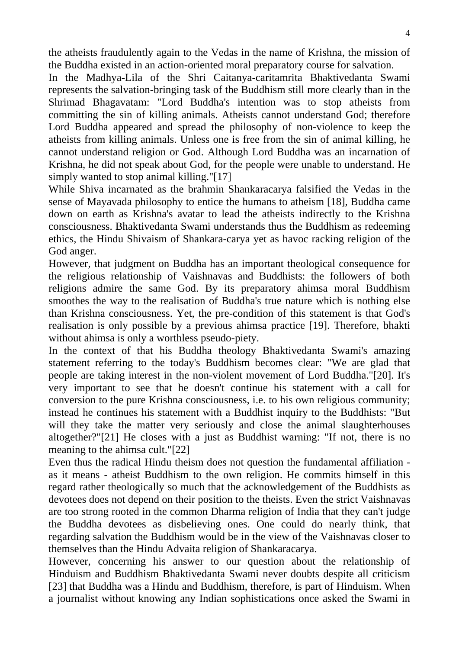the atheists fraudulently again to the Vedas in the name of Krishna, the mission of the Buddha existed in an action-oriented moral preparatory course for salvation.

In the Madhya-Lila of the Shri Caitanya-caritamrita Bhaktivedanta Swami represents the salvation-bringing task of the Buddhism still more clearly than in the Shrimad Bhagavatam: "Lord Buddha's intention was to stop atheists from committing the sin of killing animals. Atheists cannot understand God; therefore Lord Buddha appeared and spread the philosophy of non-violence to keep the atheists from killing animals. Unless one is free from the sin of animal killing, he cannot understand religion or God. Although Lord Buddha was an incarnation of Krishna, he did not speak about God, for the people were unable to understand. He simply wanted to stop animal killing."[17]

While Shiva incarnated as the brahmin Shankaracarya falsified the Vedas in the sense of Mayavada philosophy to entice the humans to atheism [18], Buddha came down on earth as Krishna's avatar to lead the atheists indirectly to the Krishna consciousness. Bhaktivedanta Swami understands thus the Buddhism as redeeming ethics, the Hindu Shivaism of Shankara-carya yet as havoc racking religion of the God anger.

However, that judgment on Buddha has an important theological consequence for the religious relationship of Vaishnavas and Buddhists: the followers of both religions admire the same God. By its preparatory ahimsa moral Buddhism smoothes the way to the realisation of Buddha's true nature which is nothing else than Krishna consciousness. Yet, the pre-condition of this statement is that God's realisation is only possible by a previous ahimsa practice [19]. Therefore, bhakti without ahimsa is only a worthless pseudo-piety.

In the context of that his Buddha theology Bhaktivedanta Swami's amazing statement referring to the today's Buddhism becomes clear: "We are glad that people are taking interest in the non-violent movement of Lord Buddha."[20]. It's very important to see that he doesn't continue his statement with a call for conversion to the pure Krishna consciousness, i.e. to his own religious community; instead he continues his statement with a Buddhist inquiry to the Buddhists: "But will they take the matter very seriously and close the animal slaughterhouses altogether?"[21] He closes with a just as Buddhist warning: "If not, there is no meaning to the ahimsa cult."[22]

Even thus the radical Hindu theism does not question the fundamental affiliation as it means - atheist Buddhism to the own religion. He commits himself in this regard rather theologically so much that the acknowledgement of the Buddhists as devotees does not depend on their position to the theists. Even the strict Vaishnavas are too strong rooted in the common Dharma religion of India that they can't judge the Buddha devotees as disbelieving ones. One could do nearly think, that regarding salvation the Buddhism would be in the view of the Vaishnavas closer to themselves than the Hindu Advaita religion of Shankaracarya.

However, concerning his answer to our question about the relationship of Hinduism and Buddhism Bhaktivedanta Swami never doubts despite all criticism [23] that Buddha was a Hindu and Buddhism, therefore, is part of Hinduism. When a journalist without knowing any Indian sophistications once asked the Swami in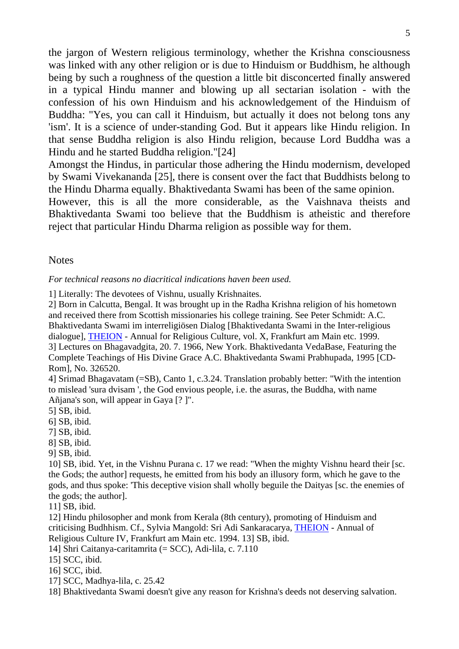the jargon of Western religious terminology, whether the Krishna consciousness was linked with any other religion or is due to Hinduism or Buddhism, he although being by such a roughness of the question a little bit disconcerted finally answered in a typical Hindu manner and blowing up all sectarian isolation - with the confession of his own Hinduism and his acknowledgement of the Hinduism of Buddha: "Yes, you can call it Hinduism, but actually it does not belong tons any 'ism'. It is a science of under-standing God. But it appears like Hindu religion. In that sense Buddha religion is also Hindu religion, because Lord Buddha was a Hindu and he started Buddha religion."[24]

Amongst the Hindus, in particular those adhering the Hindu modernism, developed by Swami Vivekananda [25], there is consent over the fact that Buddhists belong to the Hindu Dharma equally. Bhaktivedanta Swami has been of the same opinion.

However, this is all the more considerable, as the Vaishnava theists and Bhaktivedanta Swami too believe that the Buddhism is atheistic and therefore reject that particular Hindu Dharma religion as possible way for them.

**Notes** 

*For technical reasons no diacritical indications haven been used.* 

1] Literally: The devotees of Vishnu, usually Krishnaites.

2] Born in Calcutta, Bengal. It was brought up in the Radha Krishna religion of his hometown and received there from Scottish missionaries his college training. See Peter Schmidt: A.C. Bhaktivedanta Swami im interreligiösen Dialog [Bhaktivedanta Swami in the Inter-religious dialogue], [THEION](http://web.uni-frankfurt.de/irenik/Theion1.html) - Annual for Religious Culture, vol. X, Frankfurt am Main etc. 1999. 3] Lectures on Bhagavadgita, 20. 7. 1966, New York. Bhaktivedanta VedaBase, Featuring the Complete Teachings of His Divine Grace A.C. Bhaktivedanta Swami Prabhupada, 1995 [CD-Rom], No. 326520.

4] Srimad Bhagavatam (=SB), Canto 1, c.3.24. Translation probably better: "With the intention to mislead 'sura dvisam ', the God envious people, i.e. the asuras, the Buddha, with name Añjana's son, will appear in Gaya [? ]".

5] SB, ibid.

6] SB, ibid.

7] SB, ibid.

8] SB, ibid.

9] SB, ibid.

10] SB, ibid. Yet, in the Vishnu Purana c. 17 we read: "When the mighty Vishnu heard their [sc. the Gods; the author] requests, he emitted from his body an illusory form, which he gave to the gods, and thus spoke: 'This deceptive vision shall wholly beguile the Daityas [sc. the enemies of the gods; the author].

11] SB, ibid.

12] Hindu philosopher and monk from Kerala (8th century), promoting of Hinduism and criticising Budhhism. Cf., Sylvia Mangold: Sri Adi Sankaracarya, [THEION](http://web.uni-frankfurt.de/irenik/Theion1.html) - Annual of Religious Culture IV, Frankfurt am Main etc. 1994. 13] SB, ibid.

14] Shri Caitanya-caritamrita (= SCC), Adi-lila, c. 7.110

15] SCC, ibid.

16] SCC, ibid.

17] SCC, Madhya-lila, c. 25.42

18] Bhaktivedanta Swami doesn't give any reason for Krishna's deeds not deserving salvation.